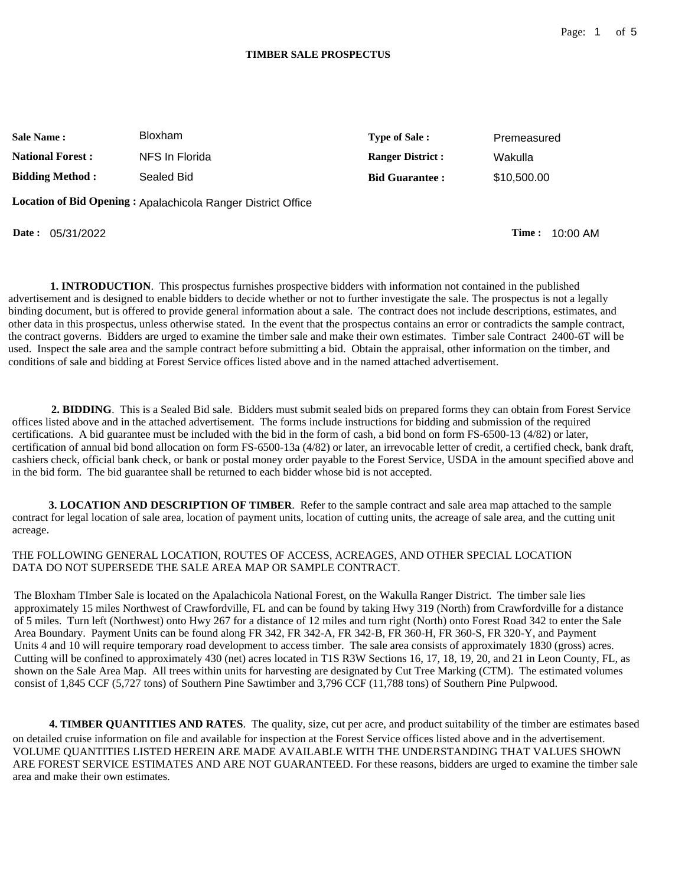### **TIMBER SALE PROSPECTUS**

| <b>Sale Name :</b>       | <b>Bloxham</b> | <b>Type of Sale:</b>    | Premeasured |
|--------------------------|----------------|-------------------------|-------------|
| <b>National Forest :</b> | NFS In Florida | <b>Ranger District:</b> | Wakulla     |
| <b>Bidding Method:</b>   | Sealed Bid     | <b>Bid Guarantee:</b>   | \$10,500.00 |

**Location of Bid Opening :** Apalachicola Ranger District Office

**Date :** 05/31/2022 **Time :** 10:00 AM

**1. INTRODUCTION**. This prospectus furnishes prospective bidders with information not contained in the published advertisement and is designed to enable bidders to decide whether or not to further investigate the sale. The prospectus is not a legally binding document, but is offered to provide general information about a sale. The contract does not include descriptions, estimates, and other data in this prospectus, unless otherwise stated. In the event that the prospectus contains an error or contradicts the sample contract, the contract governs. Bidders are urged to examine the timber sale and make their own estimates. Timber sale Contract 2400-6T will be used. Inspect the sale area and the sample contract before submitting a bid. Obtain the appraisal, other information on the timber, and conditions of sale and bidding at Forest Service offices listed above and in the named attached advertisement.

**2. BIDDING**. This is a Sealed Bid sale. Bidders must submit sealed bids on prepared forms they can obtain from Forest Service offices listed above and in the attached advertisement. The forms include instructions for bidding and submission of the required certifications. A bid guarantee must be included with the bid in the form of cash, a bid bond on form FS-6500-13 (4/82) or later, certification of annual bid bond allocation on form FS-6500-13a (4/82) or later, an irrevocable letter of credit, a certified check, bank draft, cashiers check, official bank check, or bank or postal money order payable to the Forest Service, USDA in the amount specified above and in the bid form. The bid guarantee shall be returned to each bidder whose bid is not accepted.

**3. LOCATION AND DESCRIPTION OF TIMBER**. Refer to the sample contract and sale area map attached to the sample contract for legal location of sale area, location of payment units, location of cutting units, the acreage of sale area, and the cutting unit acreage.

THE FOLLOWING GENERAL LOCATION, ROUTES OF ACCESS, ACREAGES, AND OTHER SPECIAL LOCATION DATA DO NOT SUPERSEDE THE SALE AREA MAP OR SAMPLE CONTRACT.

The Bloxham TImber Sale is located on the Apalachicola National Forest, on the Wakulla Ranger District. The timber sale lies approximately 15 miles Northwest of Crawfordville, FL and can be found by taking Hwy 319 (North) from Crawfordville for a distance of 5 miles. Turn left (Northwest) onto Hwy 267 for a distance of 12 miles and turn right (North) onto Forest Road 342 to enter the Sale Area Boundary. Payment Units can be found along FR 342, FR 342-A, FR 342-B, FR 360-H, FR 360-S, FR 320-Y, and Payment Units 4 and 10 will require temporary road development to access timber. The sale area consists of approximately 1830 (gross) acres. Cutting will be confined to approximately 430 (net) acres located in T1S R3W Sections 16, 17, 18, 19, 20, and 21 in Leon County, FL, as shown on the Sale Area Map. All trees within units for harvesting are designated by Cut Tree Marking (CTM). The estimated volumes consist of 1,845 CCF (5,727 tons) of Southern Pine Sawtimber and 3,796 CCF (11,788 tons) of Southern Pine Pulpwood.

**4. TIMBER QUANTITIES AND RATES**. The quality, size, cut per acre, and product suitability of the timber are estimates based on detailed cruise information on file and available for inspection at the Forest Service offices listed above and in the advertisement. VOLUME QUANTITIES LISTED HEREIN ARE MADE AVAILABLE WITH THE UNDERSTANDING THAT VALUES SHOWN ARE FOREST SERVICE ESTIMATES AND ARE NOT GUARANTEED. For these reasons, bidders are urged to examine the timber sale area and make their own estimates.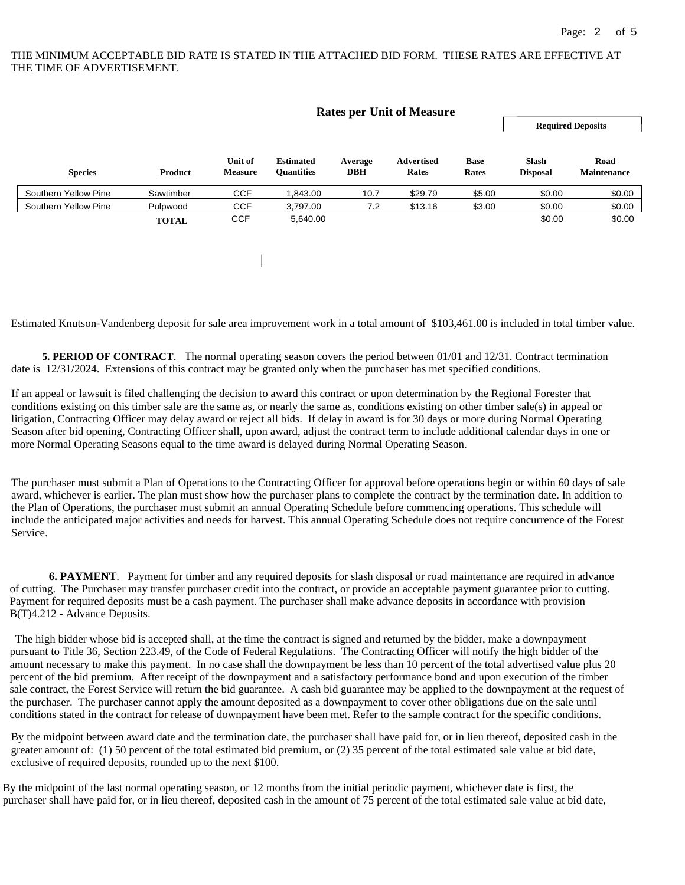# THE MINIMUM ACCEPTABLE BID RATE IS STATED IN THE ATTACHED BID FORM. THESE RATES ARE EFFECTIVE AT THE TIME OF ADVERTISEMENT.

|              |                           |                                       |                       |                            |                      | <b>Required Deposits</b>         |                            |
|--------------|---------------------------|---------------------------------------|-----------------------|----------------------------|----------------------|----------------------------------|----------------------------|
| Product      | Unit of<br><b>Measure</b> | <b>Estimated</b><br><b>Quantities</b> | Average<br><b>DBH</b> | <b>Advertised</b><br>Rates | <b>Base</b><br>Rates | <b>Slash</b><br><b>Disposal</b>  | Road<br><b>Maintenance</b> |
| Sawtimber    | <b>CCF</b>                | 1,843.00                              | 10.7                  | \$29.79                    | \$5.00               | \$0.00                           | \$0.00                     |
| Pulpwood     | <b>CCF</b>                | 3,797.00                              | 7.2                   | \$13.16                    | \$3.00               | \$0.00                           | \$0.00                     |
| <b>TOTAL</b> | <b>CCF</b>                | 5,640.00                              |                       |                            |                      | \$0.00                           | \$0.00                     |
|              |                           |                                       |                       |                            |                      |                                  |                            |
|              |                           |                                       |                       |                            |                      |                                  |                            |
|              |                           |                                       |                       |                            |                      | <b>Rates per Unit of Measure</b> |                            |

Estimated Knutson-Vandenberg deposit for sale area improvement work in a total amount of \$[103,461.00](https://103,461.00) is included in total timber value.

**5. PERIOD OF CONTRACT**. The normal operating season covers the period between 01/01 and 12/31. Contract termination date is 12/31/2024. Extensions of this contract may be granted only when the purchaser has met specified conditions.

If an appeal or lawsuit is filed challenging the decision to award this contract or upon determination by the Regional Forester that conditions existing on this timber sale are the same as, or nearly the same as, conditions existing on other timber sale(s) in appeal or litigation, Contracting Officer may delay award or reject all bids. If delay in award is for 30 days or more during Normal Operating Season after bid opening, Contracting Officer shall, upon award, adjust the contract term to include additional calendar days in one or more Normal Operating Seasons equal to the time award is delayed during Normal Operating Season.

The purchaser must submit a Plan of Operations to the Contracting Officer for approval before operations begin or within 60 days of sale award, whichever is earlier. The plan must show how the purchaser plans to complete the contract by the termination date. In addition to the Plan of Operations, the purchaser must submit an annual Operating Schedule before commencing operations. This schedule will include the anticipated major activities and needs for harvest. This annual Operating Schedule does not require concurrence of the Forest Service.

**6. PAYMENT**. Payment for timber and any required deposits for slash disposal or road maintenance are required in advance of cutting. The Purchaser may transfer purchaser credit into the contract, or provide an acceptable payment guarantee prior to cutting. Payment for required deposits must be a cash payment. The purchaser shall make advance deposits in accordance with provision B(T)4.212 - Advance Deposits.

The high bidder whose bid is accepted shall, at the time the contract is signed and returned by the bidder, make a downpayment pursuant to Title 36, Section 223.49, of the Code of Federal Regulations. The Contracting Officer will notify the high bidder of the amount necessary to make this payment. In no case shall the downpayment be less than 10 percent of the total advertised value plus 20 percent of the bid premium. After receipt of the downpayment and a satisfactory performance bond and upon execution of the timber sale contract, the Forest Service will return the bid guarantee. A cash bid guarantee may be applied to the downpayment at the request of the purchaser. The purchaser cannot apply the amount deposited as a downpayment to cover other obligations due on the sale until conditions stated in the contract for release of downpayment have been met. Refer to the sample contract for the specific conditions.

By the midpoint between award date and the termination date, the purchaser shall have paid for, or in lieu thereof, deposited cash in the greater amount of: (1) 50 percent of the total estimated bid premium, or (2) 35 percent of the total estimated sale value at bid date, exclusive of required deposits, rounded up to the next \$100.

By the midpoint of the last normal operating season, or 12 months from the initial periodic payment, whichever date is first, the purchaser shall have paid for, or in lieu thereof, deposited cash in the amount of 75 percent of the total estimated sale value at bid date,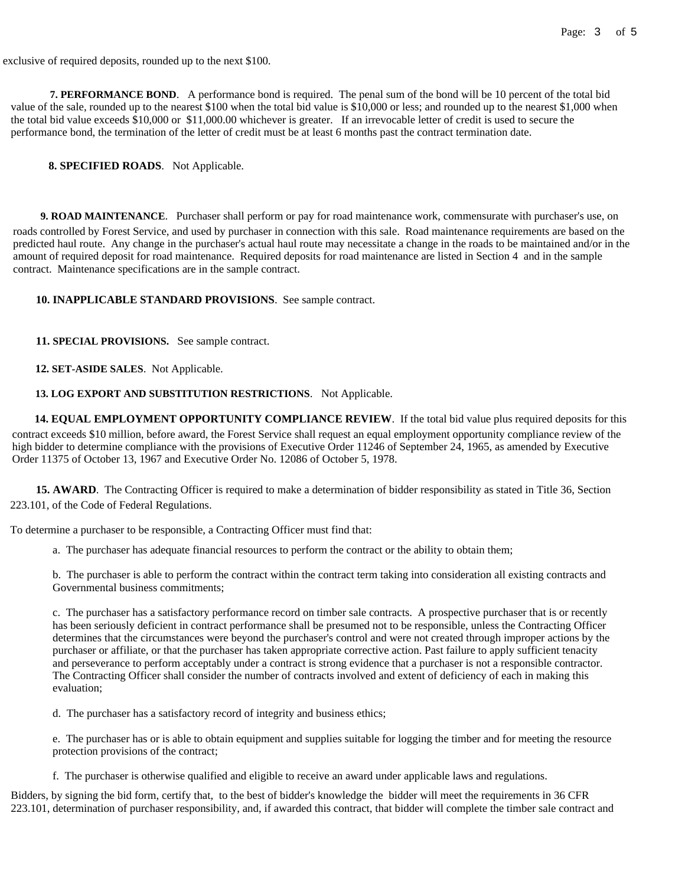exclusive of required deposits, rounded up to the next \$100.

 **7. PERFORMANCE BOND**. A performance bond is required. The penal sum of the bond will be 10 percent of the total bid value of the sale, rounded up to the nearest \$100 when the total bid value is \$10,000 or less; and rounded up to the nearest \$1,000 when the total bid value exceeds \$10,000 or \$[11,000.00](https://11,000.00) whichever is greater. If an irrevocable letter of credit is used to secure the performance bond, the termination of the letter of credit must be at least 6 months past the contract termination date.

## **8. SPECIFIED ROADS**. Not Applicable.

 **9. ROAD MAINTENANCE**. Purchaser shall perform or pay for road maintenance work, commensurate with purchaser's use, on roads controlled by Forest Service, and used by purchaser in connection with this sale. Road maintenance requirements are based on the predicted haul route. Any change in the purchaser's actual haul route may necessitate a change in the roads to be maintained and/or in the amount of required deposit for road maintenance. Required deposits for road maintenance are listed in Section 4 and in the sample contract. Maintenance specifications are in the sample contract.

### **10. INAPPLICABLE STANDARD PROVISIONS**. See sample contract.

**11. SPECIAL PROVISIONS.** See sample contract.

## **12. SET-ASIDE SALES**. Not Applicable.

## **13. LOG EXPORT AND SUBSTITUTION RESTRICTIONS**. Not Applicable.

**14. EQUAL EMPLOYMENT OPPORTUNITY COMPLIANCE REVIEW**. If the total bid value plus required deposits for this contract exceeds \$10 million, before award, the Forest Service shall request an equal employment opportunity compliance review of the high bidder to determine compliance with the provisions of Executive Order 11246 of September 24, 1965, as amended by Executive Order 11375 of October 13, 1967 and Executive Order No. 12086 of October 5, 1978.

**15. AWARD**. The Contracting Officer is required to make a determination of bidder responsibility as stated in Title 36, Section 223.101, of the Code of Federal Regulations.

To determine a purchaser to be responsible, a Contracting Officer must find that:

a. The purchaser has adequate financial resources to perform the contract or the ability to obtain them;

b. The purchaser is able to perform the contract within the contract term taking into consideration all existing contracts and Governmental business commitments;

c. The purchaser has a satisfactory performance record on timber sale contracts. A prospective purchaser that is or recently has been seriously deficient in contract performance shall be presumed not to be responsible, unless the Contracting Officer determines that the circumstances were beyond the purchaser's control and were not created through improper actions by the purchaser or affiliate, or that the purchaser has taken appropriate corrective action. Past failure to apply sufficient tenacity and perseverance to perform acceptably under a contract is strong evidence that a purchaser is not a responsible contractor. The Contracting Officer shall consider the number of contracts involved and extent of deficiency of each in making this evaluation;

d. The purchaser has a satisfactory record of integrity and business ethics;

e. The purchaser has or is able to obtain equipment and supplies suitable for logging the timber and for meeting the resource protection provisions of the contract;

f. The purchaser is otherwise qualified and eligible to receive an award under applicable laws and regulations.

Bidders, by signing the bid form, certify that, to the best of bidder's knowledge the bidder will meet the requirements in 36 CFR 223.101, determination of purchaser responsibility, and, if awarded this contract, that bidder will complete the timber sale contract and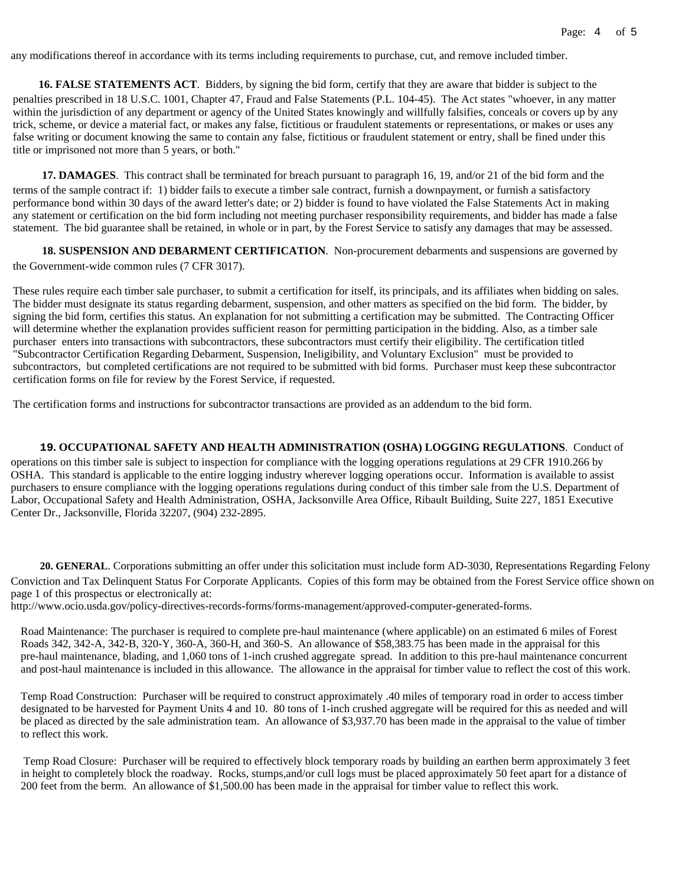any modifications thereof in accordance with its terms including requirements to purchase, cut, and remove included timber.

 **16. FALSE STATEMENTS ACT**. Bidders, by signing the bid form, certify that they are aware that bidder is subject to the penalties prescribed in 18 U.S.C. 1001, Chapter 47, Fraud and False Statements (P.L. 104-45). The Act states "whoever, in any matter within the jurisdiction of any department or agency of the United States knowingly and willfully falsifies, conceals or covers up by any trick, scheme, or device a material fact, or makes any false, fictitious or fraudulent statements or representations, or makes or uses any false writing or document knowing the same to contain any false, fictitious or fraudulent statement or entry, shall be fined under this title or imprisoned not more than 5 years, or both."

**17. DAMAGES**. This contract shall be terminated for breach pursuant to paragraph 16, 19, and/or 21 of the bid form and the terms of the sample contract if: 1) bidder fails to execute a timber sale contract, furnish a downpayment, or furnish a satisfactory performance bond within 30 days of the award letter's date; or 2) bidder is found to have violated the False Statements Act in making any statement or certification on the bid form including not meeting purchaser responsibility requirements, and bidder has made a false statement. The bid guarantee shall be retained, in whole or in part, by the Forest Service to satisfy any damages that may be assessed.

**18. SUSPENSION AND DEBARMENT CERTIFICATION**. Non-procurement debarments and suspensions are governed by the Government-wide common rules (7 CFR 3017).

These rules require each timber sale purchaser, to submit a certification for itself, its principals, and its affiliates when bidding on sales. The bidder must designate its status regarding debarment, suspension, and other matters as specified on the bid form. The bidder, by signing the bid form, certifies this status. An explanation for not submitting a certification may be submitted. The Contracting Officer will determine whether the explanation provides sufficient reason for permitting participation in the bidding. Also, as a timber sale purchaser enters into transactions with subcontractors, these subcontractors must certify their eligibility. The certification titled "Subcontractor Certification Regarding Debarment, Suspension, Ineligibility, and Voluntary Exclusion" must be provided to subcontractors, but completed certifications are not required to be submitted with bid forms. Purchaser must keep these subcontractor certification forms on file for review by the Forest Service, if requested.

The certification forms and instructions for subcontractor transactions are provided as an addendum to the bid form.

#### **19. OCCUPATIONAL SAFETY AND HEALTH ADMINISTRATION (OSHA) LOGGING REGULATIONS**. Conduct of

operations on this timber sale is subject to inspection for compliance with the logging operations regulations at 29 CFR 1910.266 by OSHA. This standard is applicable to the entire logging industry wherever logging operations occur. Information is available to assist purchasers to ensure compliance with the logging operations regulations during conduct of this timber sale from the U.S. Department of Labor, Occupational Safety and Health Administration, OSHA, Jacksonville Area Office, Ribault Building, Suite 227, 1851 Executive Center Dr., Jacksonville, Florida 32207, (904) 232-2895.

**20. GENERAL**. Corporations submitting an offer under this solicitation must include form AD-3030, Representations Regarding Felony Conviction and Tax Delinquent Status For Corporate Applicants. Copies of this form may be obtained from the Forest Service office shown on page 1 of this prospectus or electronically at:

<http://www.ocio.usda.gov/policy-directives-records-forms/forms-management/approved-computer-generated-forms>.

Road Maintenance: The purchaser is required to complete pre-haul maintenance (where applicable) on an estimated 6 miles of Forest Roads 342, 342-A, 342-B, 320-Y, 360-A, 360-H, and 360-S. An allowance of [\\$58,383.75](https://58,383.75) has been made in the appraisal for this pre-haul maintenance, blading, and 1,060 tons of 1-inch crushed aggregate spread. In addition to this pre-haul maintenance concurrent and post-haul maintenance is included in this allowance. The allowance in the appraisal for timber value to reflect the cost of this work.

Temp Road Construction: Purchaser will be required to construct approximately .40 miles of temporary road in order to access timber designated to be harvested for Payment Units 4 and 10. 80 tons of 1-inch crushed aggregate will be required for this as needed and will be placed as directed by the sale administration team. An allowance of \$[3,937.70](https://3,937.70) has been made in the appraisal to the value of timber to reflect this work.

 Temp Road Closure: Purchaser will be required to effectively block temporary roads by building an earthen berm approximately 3 feet in height to completely block the roadway. Rocks, stumps,and/or cull logs must be placed approximately 50 feet apart for a distance of 200 feet from the berm. An allowance of \$[1,500.00](https://1,500.00) has been made in the appraisal for timber value to reflect this work.